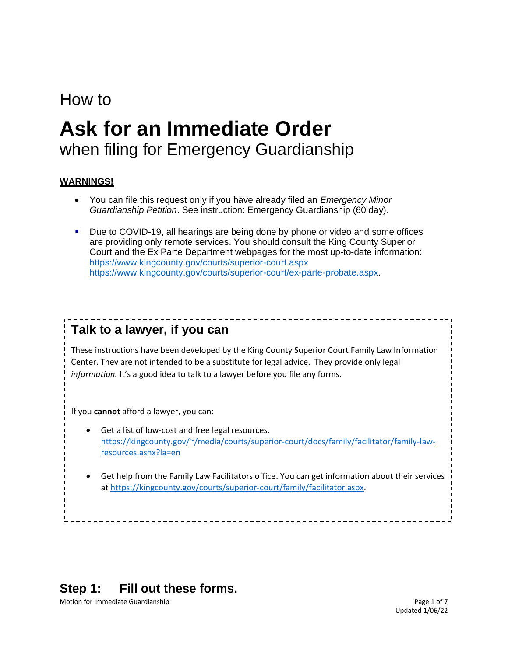# How to

# **Ask for an Immediate Order** when filing for Emergency Guardianship

#### **WARNINGS!**

- You can file this request only if you have already filed an *Emergency Minor Guardianship Petition*. See instruction: Emergency Guardianship (60 day).
- Due to COVID-19, all hearings are being done by phone or video and some offices are providing only remote services. You should consult the King County Superior Court and the Ex Parte Department webpages for the most up-to-date information: <https://www.kingcounty.gov/courts/superior-court.aspx> [https://www.kingcounty.gov/courts/superior-court/ex-parte-probate.aspx.](https://www.kingcounty.gov/courts/superior-court/ex-parte-probate.aspx)

## **Talk to a lawyer, if you can**

These instructions have been developed by the King County Superior Court Family Law Information Center. They are not intended to be a substitute for legal advice. They provide only legal *information.* It's a good idea to talk to a lawyer before you file any forms.

If you **cannot** afford a lawyer, you can:

- Get a list of low-cost and free legal resources. [https://kingcounty.gov/~/media/courts/superior-court/docs/family/facilitator/family-law](https://kingcounty.gov/~/media/courts/superior-court/docs/family/facilitator/family-law-resources.ashx?la=en)[resources.ashx?la=en](https://kingcounty.gov/~/media/courts/superior-court/docs/family/facilitator/family-law-resources.ashx?la=en)
- Get help from the Family Law Facilitators office. You can get information about their services at [https://kingcounty.gov/courts/superior-court/family/facilitator.aspx.](https://kingcounty.gov/courts/superior-court/family/facilitator.aspx)

# **Step 1: Fill out these forms.**

Motion for Immediate Guardianship **Page 1 of 7** and 2008 and 2008 and 2008 and 2008 and 2008 and 2008 and 2008 and 2008 and 2008 and 2008 and 2008 and 2008 and 2008 and 2008 and 2008 and 2008 and 2008 and 2008 and 2008 and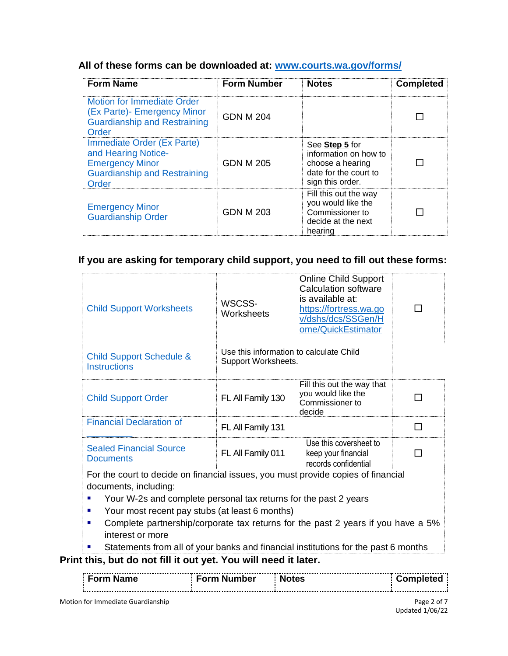## **All of these forms can be downloaded at: [www.courts.wa.gov/forms/](http://www.courts.wa.gov/forms/)**

| <b>Form Name</b>                                                                                                            | <b>Form Number</b> | <b>Notes</b>                                                                                             | <b>Completed</b> |
|-----------------------------------------------------------------------------------------------------------------------------|--------------------|----------------------------------------------------------------------------------------------------------|------------------|
| <b>Motion for Immediate Order</b><br>(Ex Parte)- Emergency Minor<br><b>Guardianship and Restraining</b><br>Order            | <b>GDN M 204</b>   |                                                                                                          |                  |
| Immediate Order (Ex Parte)<br>and Hearing Notice-<br><b>Emergency Minor</b><br><b>Guardianship and Restraining</b><br>Order | <b>GDN M 205</b>   | See Step 5 for<br>information on how to<br>choose a hearing<br>date for the court to<br>sign this order. |                  |
| <b>Emergency Minor</b><br><b>Guardianship Order</b>                                                                         | <b>GDN M 203</b>   | Fill this out the way<br>you would like the<br>Commissioner to<br>decide at the next<br>hearing          |                  |

## **If you are asking for temporary child support, you need to fill out these forms:**

| <b>Child Support Worksheets</b>                                                   | WSCSS-<br>Worksheets                                           | <b>Online Child Support</b><br>Calculation software<br>is available at:<br>https://fortress.wa.go<br>v/dshs/dcs/SSGen/H<br>ome/QuickEstimator |  |  |
|-----------------------------------------------------------------------------------|----------------------------------------------------------------|-----------------------------------------------------------------------------------------------------------------------------------------------|--|--|
| <b>Child Support Schedule &amp;</b><br><b>Instructions</b>                        | Use this information to calculate Child<br>Support Worksheets. |                                                                                                                                               |  |  |
| <b>Child Support Order</b>                                                        | FL All Family 130                                              | Fill this out the way that<br>you would like the<br>Commissioner to<br>decide                                                                 |  |  |
| <b>Financial Declaration of</b>                                                   | FL All Family 131                                              |                                                                                                                                               |  |  |
| <b>Sealed Financial Source</b><br><b>Documents</b>                                | FL All Family 011                                              | Use this coversheet to<br>keep your financial<br>records confidential                                                                         |  |  |
| For the court to decide on financial issues, you must provide copies of financial |                                                                |                                                                                                                                               |  |  |

documents, including:

- Your W-2s and complete personal tax returns for the past 2 years
- Your most recent pay stubs (at least 6 months)
- Complete partnership/corporate tax returns for the past 2 years if you have a 5% interest or more
- Statements from all of your banks and financial institutions for the past 6 months

**Print this, but do not fill it out yet. You will need it later.** 

| <b>Form Name</b> | . Form Number | Notes | Completed |  |
|------------------|---------------|-------|-----------|--|
|                  |               |       |           |  |
|                  |               |       |           |  |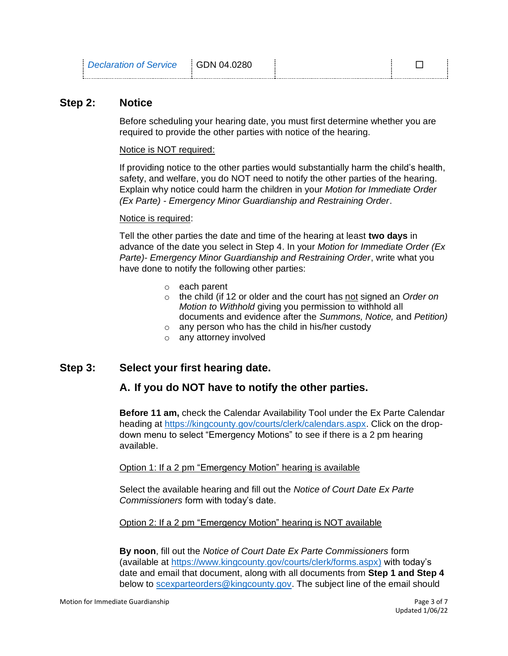#### **Step 2: Notice**

Before scheduling your hearing date, you must first determine whether you are required to provide the other parties with notice of the hearing.

#### Notice is NOT required:

If providing notice to the other parties would substantially harm the child's health, safety, and welfare, you do NOT need to notify the other parties of the hearing. Explain why notice could harm the children in your *Motion for Immediate Order (Ex Parte) - Emergency Minor Guardianship and Restraining Order*.

#### Notice is required:

Tell the other parties the date and time of the hearing at least **two days** in advance of the date you select in Step 4. In your *Motion for Immediate Order (Ex Parte)- Emergency Minor Guardianship and Restraining Order*, write what you have done to notify the following other parties:

- o each parent
- o the child (if 12 or older and the court has not signed an *Order on Motion to Withhold* giving you permission to withhold all documents and evidence after the *Summons, Notice,* and *Petition)*
- o any person who has the child in his/her custody
- o any attorney involved

#### **Step 3: Select your first hearing date.**

#### **A. If you do NOT have to notify the other parties.**

**Before 11 am,** check the Calendar Availability Tool under the Ex Parte Calendar heading at [https://kingcounty.gov/courts/clerk/calendars.aspx.](https://kingcounty.gov/courts/clerk/calendars.aspx) Click on the dropdown menu to select "Emergency Motions" to see if there is a 2 pm hearing available.

#### Option 1: If a 2 pm "Emergency Motion" hearing is available

Select the available hearing and fill out the *Notice of Court Date Ex Parte Commissioners* form with today's date.

Option 2: If a 2 pm "Emergency Motion" hearing is NOT available

**By noon**, fill out the *Notice of Court Date Ex Parte Commissioners* form (available at [https://www.kingcounty.gov/courts/clerk/forms.aspx\)](https://www.kingcounty.gov/courts/clerk/forms.aspx) with today's date and email that document, along with all documents from **Step 1 and Step 4** below to [scexparteorders@kingcounty.gov.](mailto:scexparteorders@kingcounty.gov) The subject line of the email should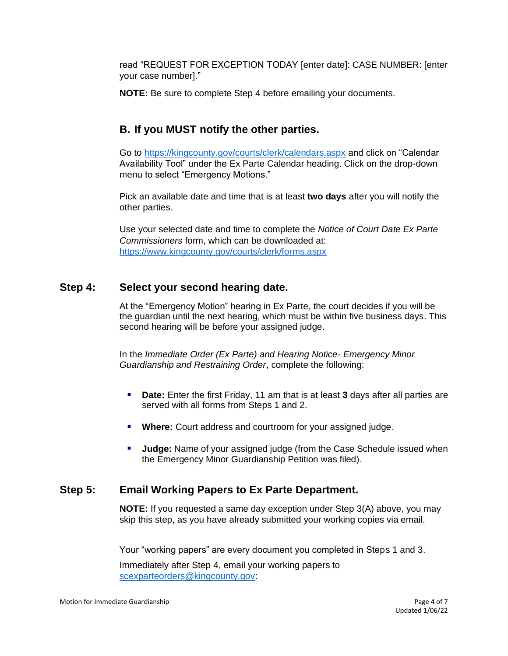read "REQUEST FOR EXCEPTION TODAY [enter date]: CASE NUMBER: [enter your case number]."

**NOTE:** Be sure to complete Step 4 before emailing your documents.

## **B. If you MUST notify the other parties.**

Go to<https://kingcounty.gov/courts/clerk/calendars.aspx> and click on "Calendar Availability Tool" under the Ex Parte Calendar heading. Click on the drop-down menu to select "Emergency Motions."

Pick an available date and time that is at least **two days** after you will notify the other parties.

Use your selected date and time to complete the *Notice of Court Date Ex Parte Commissioners* form, which can be downloaded at: <https://www.kingcounty.gov/courts/clerk/forms.aspx>

## **Step 4: Select your second hearing date.**

At the "Emergency Motion" hearing in Ex Parte, the court decides if you will be the guardian until the next hearing, which must be within five business days. This second hearing will be before your assigned judge.

In the *Immediate Order (Ex Parte) and Hearing Notice- Emergency Minor Guardianship and Restraining Order*, complete the following:

- **Date:** Enter the first Friday, 11 am that is at least **3** days after all parties are served with all forms from Steps 1 and 2.
- **Where:** Court address and courtroom for your assigned judge.
- **Judge:** Name of your assigned judge (from the Case Schedule issued when the Emergency Minor Guardianship Petition was filed).

## **Step 5: Email Working Papers to Ex Parte Department.**

**NOTE:** If you requested a same day exception under Step 3(A) above, you may skip this step, as you have already submitted your working copies via email.

Your "working papers" are every document you completed in Steps 1 and 3.

Immediately after Step 4, email your working papers to [scexparteorders@kingcounty.gov:](mailto:scexparteorders@kingcounty.gov)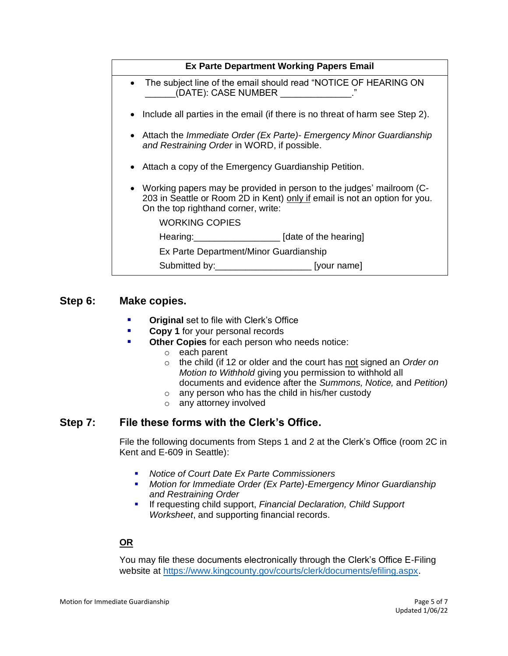

#### **Step 6: Make copies.**

- **Original** set to file with Clerk's Office
- **Copy 1** for your personal records
- **Other Copies** for each person who needs notice:
	- o each parent
	- o the child (if 12 or older and the court has not signed an *Order on Motion to Withhold* giving you permission to withhold all documents and evidence after the *Summons, Notice,* and *Petition)*
	- o any person who has the child in his/her custody
	- o any attorney involved

#### **Step 7: File these forms with the Clerk's Office.**

File the following documents from Steps 1 and 2 at the Clerk's Office (room 2C in Kent and E-609 in Seattle):

- *Notice of Court Date Ex Parte Commissioners*
- *Motion for Immediate Order (Ex Parte)-Emergency Minor Guardianship and Restraining Order*
- If requesting child support, *Financial Declaration, Child Support Worksheet*, and supporting financial records.

#### **OR**

You may file these documents electronically through the Clerk's Office E-Filing website at [https://www.kingcounty.gov/courts/clerk/documents/efiling.aspx.](https://www.kingcounty.gov/courts/clerk/documents/efiling.aspx)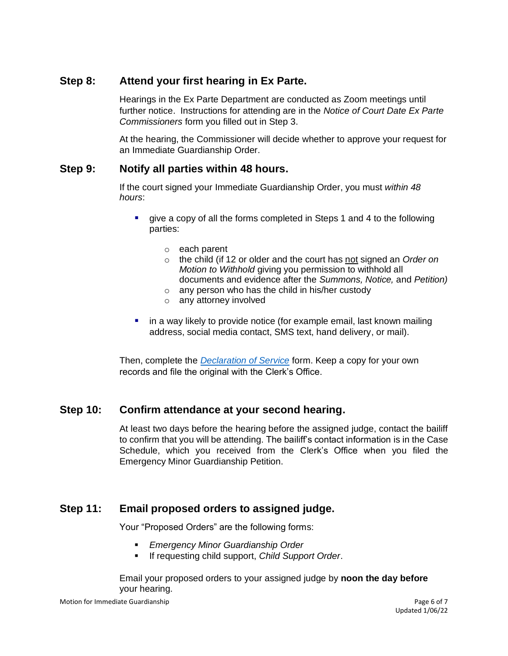## **Step 8: Attend your first hearing in Ex Parte.**

Hearings in the Ex Parte Department are conducted as Zoom meetings until further notice. Instructions for attending are in the *Notice of Court Date Ex Parte Commissioners* form you filled out in Step 3.

At the hearing, the Commissioner will decide whether to approve your request for an Immediate Guardianship Order.

#### **Step 9: Notify all parties within 48 hours.**

If the court signed your Immediate Guardianship Order, you must *within 48 hours*:

- give a copy of all the forms completed in Steps 1 and 4 to the following parties:
	- o each parent
	- o the child (if 12 or older and the court has not signed an *Order on Motion to Withhold* giving you permission to withhold all documents and evidence after the *Summons, Notice,* and *Petition)*
	- o any person who has the child in his/her custody
	- o any attorney involved
- in a way likely to provide notice (for example email, last known mailing address, social media contact, SMS text, hand delivery, or mail).

Then, complete the *[Declaration of Service](https://www.courts.wa.gov/forms/documents/GDN%2004%200850%20Decl%20of%20Service%202018%2010.doc)* form. Keep a copy for your own records and file the original with the Clerk's Office.

#### **Step 10: Confirm attendance at your second hearing.**

At least two days before the hearing before the assigned judge, contact the bailiff to confirm that you will be attending. The bailiff's contact information is in the Case Schedule, which you received from the Clerk's Office when you filed the Emergency Minor Guardianship Petition.

#### **Step 11: Email proposed orders to assigned judge.**

Your "Proposed Orders" are the following forms:

- *Emergency Minor Guardianship Order*
- If requesting child support, *Child Support Order*.

Email your proposed orders to your assigned judge by **noon the day before**  your hearing.